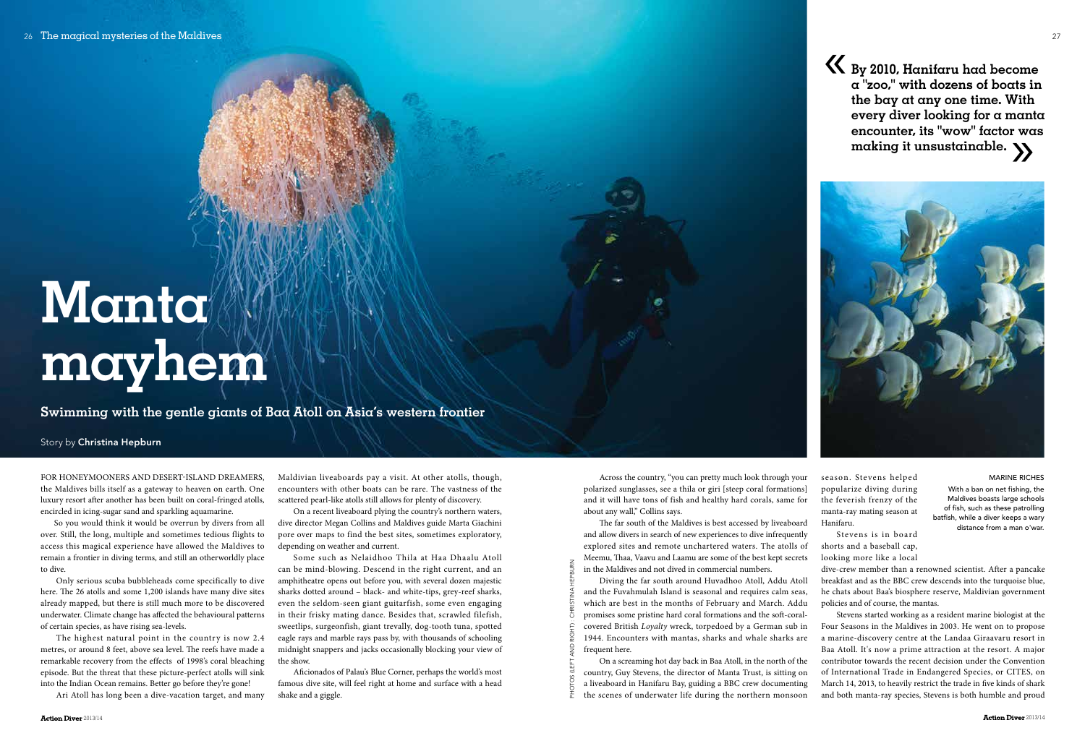Across the country, "you can pretty much look through your polarized sunglasses, see a thila or giri [steep coral formations] and it will have tons of fish and healthy hard corals, same for about any wall," Collins says.

The far south of the Maldives is best accessed by liveaboard and allow divers in search of new experiences to dive infrequently explored sites and remote unchartered waters. The atolls of Meemu, Thaa, Vaavu and Laamu are some of the best kept secrets in the Maldives and not dived in commercial numbers.

Diving the far south around Huvadhoo Atoll, Addu Atoll and the Fuvahmulah Island is seasonal and requires calm seas, which are best in the months of February and March. Addu promises some pristine hard coral formations and the soft-coralcovered British *Loyalty* wreck, torpedoed by a German sub in 1944. Encounters with mantas, sharks and whale sharks are frequent here.

season. Stevens helped popularize diving during the feverish frenzy of the manta-ray mating season at

Hanifaru.

Stevens is in board shorts and a baseball cap, looking more like a local

dive-crew member than a renowned scientist. After a pancake breakfast and as the BBC crew descends into the turquoise blue, he chats about Baa's biosphere reserve, Maldivian government policies and of course, the mantas.

Stevens started working as a resident marine biologist at the Four Seasons in the Maldives in 2003. He went on to propose a marine-discovery centre at the Landaa Giraavaru resort in Baa Atoll. It's now a prime attraction at the resort. A major contributor towards the recent decision under the Convention of International Trade in Endangered Species, or CITES, on March 14, 2013, to heavily restrict the trade in five kinds of shark and both manta-ray species, Stevens is both humble and proud

**Swimming with the gentle giants of Baa Atoll on Asia's western frontier** 

# **Manta mayhem**

#### Story by Christina Hepburn

**Action Diver** 2013/14

**By 2010, Hanifaru had become a "zoo," with dozens of boats in the bay at any one time. With every diver looking for a manta encounter, its "wow" factor was making it unsustainable.**  $\sum_{x=1}^{\infty}$ 



For honeymooners and desert-island dreamers, the Maldives bills itself as a gateway to heaven on earth. One luxury resort after another has been built on coral-fringed atolls, encircled in icing-sugar sand and sparkling aquamarine.

So you would think it would be overrun by divers from all over. Still, the long, multiple and sometimes tedious flights to access this magical experience have allowed the Maldives to remain a frontier in diving terms, and still an otherworldly place to dive.

Only serious scuba bubbleheads come specifically to dive here. The 26 atolls and some 1,200 islands have many dive sites already mapped, but there is still much more to be discovered underwater. Climate change has affected the behavioural patterns of certain species, as have rising sea-levels.

On a screaming hot day back in Baa Atoll, in the north of the country, Guy Stevens, the director of Manta Trust, is sitting on a liveaboard in Hanifaru Bay, guiding a BBC crew documenting the scenes of underwater life during the northern monsoon Photos (left and right) : Christina Hepburn

The highest natural point in the country is now 2.4 metres, or around 8 feet, above sea level. The reefs have made a remarkable recovery from the effects of 1998's coral bleaching episode. But the threat that these picture-perfect atolls will sink into the Indian Ocean remains. Better go before they're gone!

Ari Atoll has long been a dive-vacation target, and many

Maldivian liveaboards pay a visit. At other atolls, though, encounters with other boats can be rare. The vastness of the scattered pearl-like atolls still allows for plenty of discovery.

On a recent liveaboard plying the country's northern waters, dive director Megan Collins and Maldives guide Marta Giachini pore over maps to find the best sites, sometimes exploratory, depending on weather and current.

Some such as Nelaidhoo Thila at Haa Dhaalu Atoll can be mind-blowing. Descend in the right current, and an amphitheatre opens out before you, with several dozen majestic sharks dotted around – black- and white-tips, grey-reef sharks, even the seldom-seen giant guitarfish, some even engaging in their frisky mating dance. Besides that, scrawled filefish, sweetlips, surgeonfish, giant trevally, dog-tooth tuna, spotted eagle rays and marble rays pass by, with thousands of schooling midnight snappers and jacks occasionally blocking your view of the show.

Aficionados of Palau's Blue Corner, perhaps the world's most famous dive site, will feel right at home and surface with a head shake and a giggle.

«

MARINE RICHES With a ban on net fishing, the Maldives boasts large schools of fish, such as these patrolling batfish, while a diver keeps a wary distance from a man o'war.